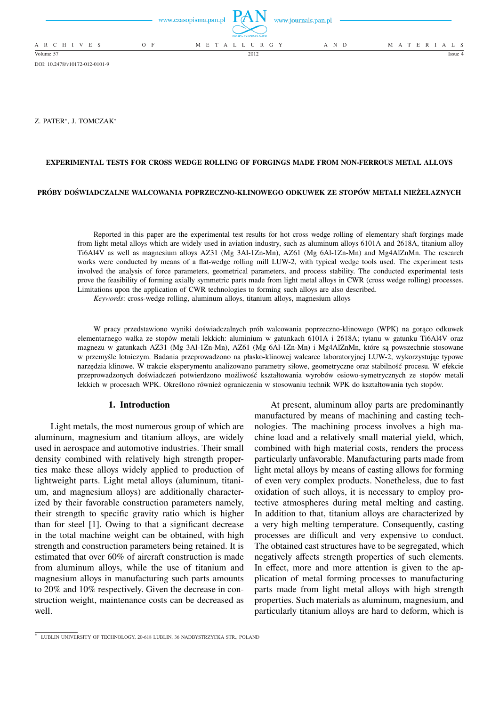|                 | www.czasopisma.pan.pl $\mathbf{L}(\mathbf{X} \mathbf{X})$ www.journals.pan.pl<br>POLSKA AKADEMIA NAUK |  |                     |       |  |  |                   |         |
|-----------------|-------------------------------------------------------------------------------------------------------|--|---------------------|-------|--|--|-------------------|---------|
| A R C H I V E S | $O$ F                                                                                                 |  | M E T A L L U R G Y | A N D |  |  | M A T E R I A L S |         |
| Volume 57       |                                                                                                       |  | 2012                |       |  |  |                   | Issue 4 |

DOI: 10.2478/v10172-012-0101-9

Z. PATER<sup>∗</sup> , J. TOMCZAK<sup>∗</sup>

## **EXPERIMENTAL TESTS FOR CROSS WEDGE ROLLING OF FORGINGS MADE FROM NON-FERROUS METAL ALLOYS**

## **PRÓBY DOŚWIADCZALNE WALCOWANIA POPRZECZNO-KLINOWEGO ODKUWEK ZE STOPÓW METALI NIEŻELAZNYCH**

Reported in this paper are the experimental test results for hot cross wedge rolling of elementary shaft forgings made from light metal alloys which are widely used in aviation industry, such as aluminum alloys 6101A and 2618A, titanium alloy Ti6Al4V as well as magnesium alloys AZ31 (Mg 3Al-1Zn-Mn), AZ61 (Mg 6Al-1Zn-Mn) and Mg4AlZnMn. The research works were conducted by means of a flat-wedge rolling mill LUW-2, with typical wedge tools used. The experiment tests involved the analysis of force parameters, geometrical parameters, and process stability. The conducted experimental tests prove the feasibility of forming axially symmetric parts made from light metal alloys in CWR (cross wedge rolling) processes. Limitations upon the application of CWR technologies to forming such alloys are also described.

*Keywords*: cross-wedge rolling, aluminum alloys, titanium alloys, magnesium alloys

W pracy przedstawiono wyniki doświadczalnych prób walcowania poprzeczno-klinowego (WPK) na gorąco odkuwek elementarnego wałka ze stopów metali lekkich: aluminium w gatunkach 6101A i 2618A; tytanu w gatunku Ti6Al4V oraz magnezu w gatunkach AZ31 (Mg 3Al-1Zn-Mn), AZ61 (Mg 6Al-1Zn-Mn) i Mg4AlZnMn, które są powszechnie stosowane w przemyśle lotniczym. Badania przeprowadzono na płasko-klinowej walcarce laboratoryjnej LUW-2, wykorzystując typowe narzędzia klinowe. W trakcie eksperymentu analizowano parametry siłowe, geometryczne oraz stabilność procesu. W efekcie przeprowadzonych doświadczeń potwierdzono możliwość kształtowania wyrobów osiowo-symetrycznych ze stopów metali lekkich w procesach WPK. Określono również ograniczenia w stosowaniu technik WPK do kształtowania tych stopów.

## **1. Introduction**

Light metals, the most numerous group of which are aluminum, magnesium and titanium alloys, are widely used in aerospace and automotive industries. Their small density combined with relatively high strength properties make these alloys widely applied to production of lightweight parts. Light metal alloys (aluminum, titanium, and magnesium alloys) are additionally characterized by their favorable construction parameters namely, their strength to specific gravity ratio which is higher than for steel [1]. Owing to that a significant decrease in the total machine weight can be obtained, with high strength and construction parameters being retained. It is estimated that over 60% of aircraft construction is made from aluminum alloys, while the use of titanium and magnesium alloys in manufacturing such parts amounts to 20% and 10% respectively. Given the decrease in construction weight, maintenance costs can be decreased as well.

At present, aluminum alloy parts are predominantly manufactured by means of machining and casting technologies. The machining process involves a high machine load and a relatively small material yield, which, combined with high material costs, renders the process particularly unfavorable. Manufacturing parts made from light metal alloys by means of casting allows for forming of even very complex products. Nonetheless, due to fast oxidation of such alloys, it is necessary to employ protective atmospheres during metal melting and casting. In addition to that, titanium alloys are characterized by a very high melting temperature. Consequently, casting processes are difficult and very expensive to conduct. The obtained cast structures have to be segregated, which negatively affects strength properties of such elements. In effect, more and more attention is given to the application of metal forming processes to manufacturing parts made from light metal alloys with high strength properties. Such materials as aluminum, magnesium, and particularly titanium alloys are hard to deform, which is

<sup>∗</sup> LUBLIN UNIVERSITY OF TECHNOLOGY, 20-618 LUBLIN, 36 NADBYSTRZYCKA STR., POLAND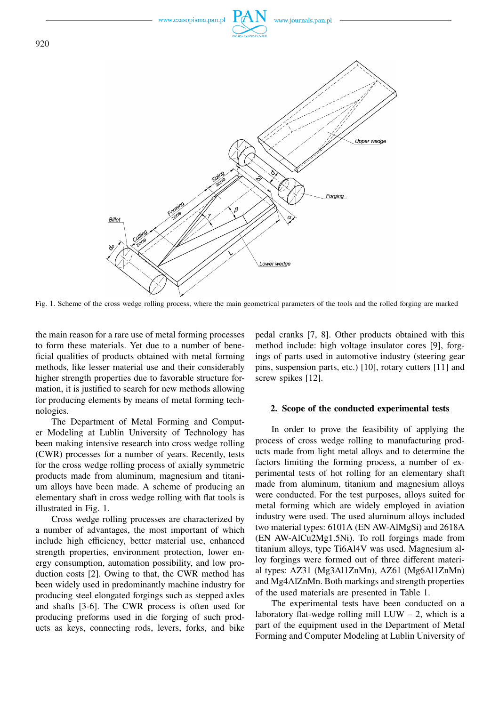

Fig. 1. Scheme of the cross wedge rolling process, where the main geometrical parameters of the tools and the rolled forging are marked

the main reason for a rare use of metal forming processes to form these materials. Yet due to a number of beneficial qualities of products obtained with metal forming methods, like lesser material use and their considerably higher strength properties due to favorable structure formation, it is justified to search for new methods allowing for producing elements by means of metal forming technologies.

The Department of Metal Forming and Computer Modeling at Lublin University of Technology has been making intensive research into cross wedge rolling (CWR) processes for a number of years. Recently, tests for the cross wedge rolling process of axially symmetric products made from aluminum, magnesium and titanium alloys have been made. A scheme of producing an elementary shaft in cross wedge rolling with flat tools is illustrated in Fig. 1.

Cross wedge rolling processes are characterized by a number of advantages, the most important of which include high efficiency, better material use, enhanced strength properties, environment protection, lower energy consumption, automation possibility, and low production costs [2]. Owing to that, the CWR method has been widely used in predominantly machine industry for producing steel elongated forgings such as stepped axles and shafts [3-6]. The CWR process is often used for producing preforms used in die forging of such products as keys, connecting rods, levers, forks, and bike

pedal cranks [7, 8]. Other products obtained with this method include: high voltage insulator cores [9], forgings of parts used in automotive industry (steering gear pins, suspension parts, etc.) [10], rotary cutters [11] and screw spikes [12].

## **2. Scope of the conducted experimental tests**

In order to prove the feasibility of applying the process of cross wedge rolling to manufacturing products made from light metal alloys and to determine the factors limiting the forming process, a number of experimental tests of hot rolling for an elementary shaft made from aluminum, titanium and magnesium alloys were conducted. For the test purposes, alloys suited for metal forming which are widely employed in aviation industry were used. The used aluminum alloys included two material types: 6101A (EN AW-AlMgSi) and 2618A (EN AW-AlCu2Mg1.5Ni). To roll forgings made from titanium alloys, type Ti6Al4V was used. Magnesium alloy forgings were formed out of three different material types: AZ31 (Mg3Al1ZnMn), AZ61 (Mg6Al1ZnMn) and Mg4AlZnMn. Both markings and strength properties of the used materials are presented in Table 1.

The experimental tests have been conducted on a laboratory flat-wedge rolling mill  $LUW - 2$ , which is a part of the equipment used in the Department of Metal Forming and Computer Modeling at Lublin University of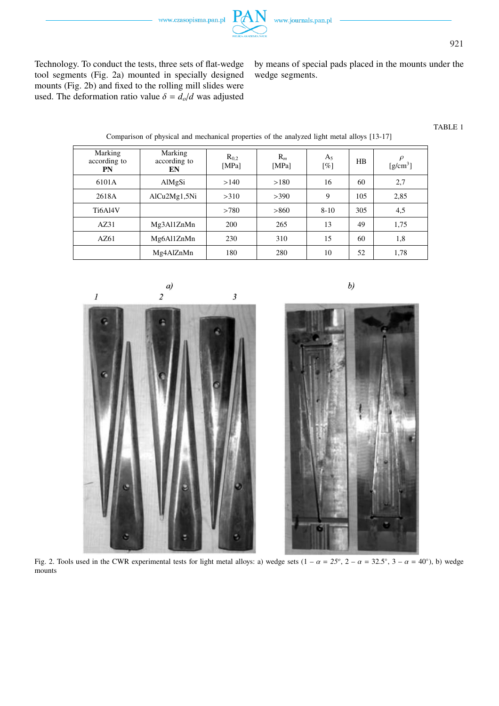



921

Technology. To conduct the tests, three sets of flat-wedge tool segments (Fig. 2a) mounted in specially designed mounts (Fig. 2b) and fixed to the rolling mill slides were used. The deformation ratio value  $\delta = d_o/d$  was adjusted

by means of special pads placed in the mounts under the wedge segments.

TABLE 1

| Marking<br>Marking<br>$R_{0,2}$<br>$\mathbf{R}_m$<br>$A_5$<br>according to<br>according to<br>$_{\rm HB}$<br>[MPa]<br>[MPa]<br>$[\%]$<br><b>PN</b><br>EN | $\rho$<br>$\left[\text{g/cm}^3\right]$ |
|----------------------------------------------------------------------------------------------------------------------------------------------------------|----------------------------------------|
| 6101A<br>16<br>60<br>AlMgSi<br>>180<br>>140                                                                                                              | 2,7                                    |
| 9<br>2618A<br>AlCu2Mg1,5Ni<br>>390<br>105<br>>310                                                                                                        | 2,85                                   |
| >860<br>Ti6Al4V<br>>780<br>305<br>$8 - 10$                                                                                                               | 4,5                                    |
| 13<br>49<br>200<br>265<br>AZ31<br>Mg3Al1ZnMn                                                                                                             | 1,75                                   |
| 230<br>15<br>60<br>Mg6Al1ZnMn<br>310<br>AZ61                                                                                                             | 1,8                                    |
| 180<br>52<br>Mg4AlZnMn<br>280<br>10                                                                                                                      | 1,78                                   |

Comparison of physical and mechanical properties of the analyzed light metal alloys [13-17]

 $P_{d}$ 





a)

 $b)$ 



Fig. 2. Tools used in the CWR experimental tests for light metal alloys: a) wedge sets  $(1 - \alpha = 25^{\circ}, 2 - \alpha = 32.5^{\circ}, 3 - \alpha = 40^{\circ})$ , b) wedge mounts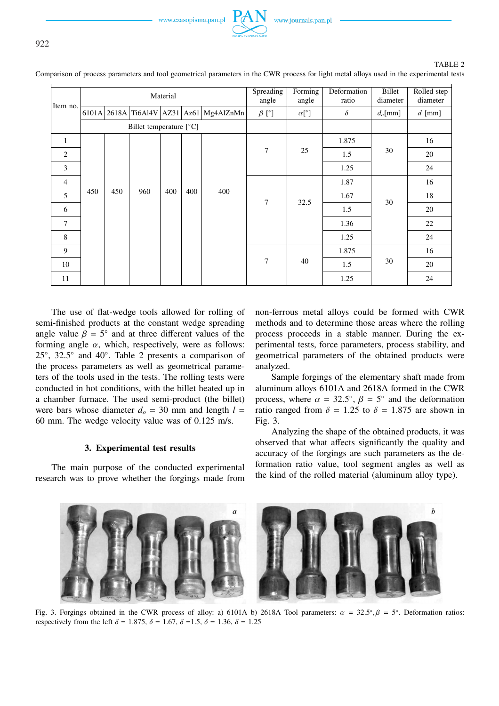



# TABLE 2

Comparison of process parameters and tool geometrical parameters in the CWR process for light metal alloys used in the experimental tests

|                | Material                |  |            |     |     |                                         | Spreading<br>angle | Forming<br>angle | Deformation<br>ratio | Billet<br>diameter | Rolled step<br>diameter |
|----------------|-------------------------|--|------------|-----|-----|-----------------------------------------|--------------------|------------------|----------------------|--------------------|-------------------------|
| Item no.       |                         |  |            |     |     | 6101A 2618A Ti6Al4V AZ31 Az61 Mg4AlZnMn | $\beta$ [°]        | $\alpha$ [°]     | $\delta$             | $d_o$ [mm]         | $d$ [mm]                |
|                | Billet temperature [°C] |  |            |     |     |                                         |                    |                  |                      |                    |                         |
| 1              |                         |  |            |     |     |                                         |                    |                  | 1.875                |                    | 16                      |
| 2              |                         |  |            | 400 | 400 | 400                                     | 7                  | 25               | 1.5                  | 30                 | 20                      |
| 3              |                         |  | 960<br>450 |     |     |                                         |                    |                  | 1.25                 |                    | 24                      |
| $\overline{4}$ | 450<br>5<br>6<br>$\tau$ |  |            |     |     |                                         | $\overline{7}$     | 32.5             | 1.87                 | 30                 | 16                      |
|                |                         |  |            |     |     |                                         |                    |                  | 1.67                 |                    | $18\,$                  |
|                |                         |  |            |     |     |                                         |                    |                  | 1.5                  |                    | 20                      |
|                |                         |  |            |     |     |                                         |                    |                  | 1.36                 |                    | 22                      |
| 8              |                         |  |            |     |     |                                         |                    |                  | 1.25                 |                    | 24                      |
| 9              |                         |  |            |     |     |                                         |                    |                  | 1.875                |                    | 16                      |
| 10             |                         |  |            |     |     |                                         | 7                  | 40               | 1.5                  | 30                 | 20                      |
| 11             |                         |  |            |     |     |                                         |                    |                  | 1.25                 |                    | 24                      |

The use of flat-wedge tools allowed for rolling of semi-finished products at the constant wedge spreading angle value  $\beta = 5^{\circ}$  and at three different values of the forming angle  $\alpha$ , which, respectively, were as follows: 25°, 32.5° and 40°. Table 2 presents a comparison of the process parameters as well as geometrical parameters of the tools used in the tests. The rolling tests were conducted in hot conditions, with the billet heated up in a chamber furnace. The used semi-product (the billet) were bars whose diameter  $d_0 = 30$  mm and length  $l =$ 60 mm. The wedge velocity value was of 0.125 m/s.

## **3. Experimental test results**

The main purpose of the conducted experimental research was to prove whether the forgings made from non-ferrous metal alloys could be formed with CWR methods and to determine those areas where the rolling process proceeds in a stable manner. During the experimental tests, force parameters, process stability, and geometrical parameters of the obtained products were analyzed.

Sample forgings of the elementary shaft made from aluminum alloys 6101A and 2618A formed in the CWR process, where  $\alpha = 32.5^{\circ}$ ,  $\beta = 5^{\circ}$  and the deformation ratio ranged from  $\delta = 1.25$  to  $\delta = 1.875$  are shown in Fig. 3.

Analyzing the shape of the obtained products, it was observed that what affects significantly the quality and accuracy of the forgings are such parameters as the deformation ratio value, tool segment angles as well as the kind of the rolled material (aluminum alloy type).



Fig. 3. Forgings obtained in the CWR process of alloy: a) 6101A b) 2618A Tool parameters:  $\alpha = 32.5^{\circ}, \beta = 5^{\circ}$ . Deformation ratios: respectively from the left  $\delta = 1.875$ ,  $\delta = 1.67$ ,  $\delta = 1.5$ ,  $\delta = 1.36$ ,  $\delta = 1.25$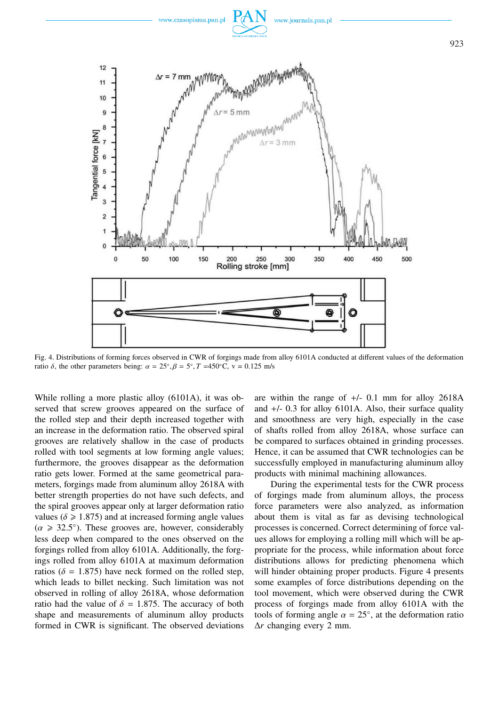

Fig. 4. Distributions of forming forces observed in CWR of forgings made from alloy 6101A conducted at different values of the deformation ratio  $\delta$ , the other parameters being:  $\alpha = 25^{\circ}, \beta = 5^{\circ}, T = 450^{\circ}$ C,  $v = 0.125$  m/s

While rolling a more plastic alloy (6101A), it was observed that screw grooves appeared on the surface of the rolled step and their depth increased together with an increase in the deformation ratio. The observed spiral grooves are relatively shallow in the case of products rolled with tool segments at low forming angle values; furthermore, the grooves disappear as the deformation ratio gets lower. Formed at the same geometrical parameters, forgings made from aluminum alloy 2618A with better strength properties do not have such defects, and the spiral grooves appear only at larger deformation ratio values ( $\delta \ge 1.875$ ) and at increased forming angle values  $(\alpha \geq 32.5^{\circ})$ . These grooves are, however, considerably less deep when compared to the ones observed on the forgings rolled from alloy 6101A. Additionally, the forgings rolled from alloy 6101A at maximum deformation ratios ( $\delta = 1.875$ ) have neck formed on the rolled step, which leads to billet necking. Such limitation was not observed in rolling of alloy 2618A, whose deformation ratio had the value of  $\delta = 1.875$ . The accuracy of both shape and measurements of aluminum alloy products formed in CWR is significant. The observed deviations are within the range of  $+/- 0.1$  mm for alloy 2618A and +/- 0.3 for alloy 6101A. Also, their surface quality and smoothness are very high, especially in the case of shafts rolled from alloy 2618A, whose surface can be compared to surfaces obtained in grinding processes. Hence, it can be assumed that CWR technologies can be successfully employed in manufacturing aluminum alloy products with minimal machining allowances.

During the experimental tests for the CWR process of forgings made from aluminum alloys, the process force parameters were also analyzed, as information about them is vital as far as devising technological processes is concerned. Correct determining of force values allows for employing a rolling mill which will be appropriate for the process, while information about force distributions allows for predicting phenomena which will hinder obtaining proper products. Figure 4 presents some examples of force distributions depending on the tool movement, which were observed during the CWR process of forgings made from alloy 6101A with the tools of forming angle  $\alpha = 25^{\circ}$ , at the deformation ratio ∆*r* changing every 2 mm.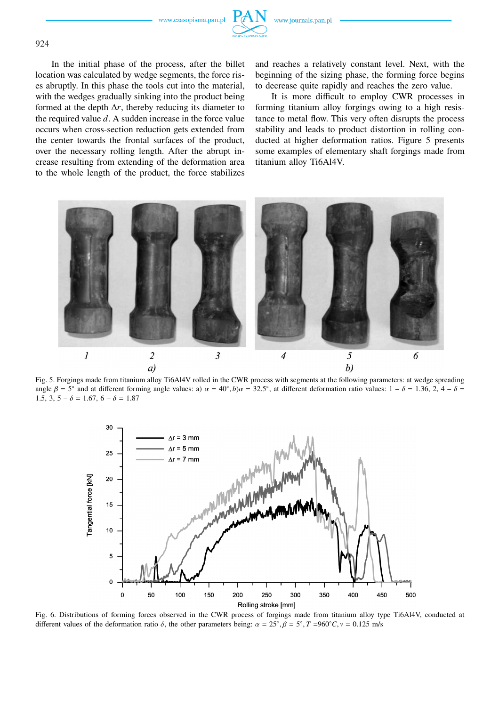



In the initial phase of the process, after the billet location was calculated by wedge segments, the force rises abruptly. In this phase the tools cut into the material, with the wedges gradually sinking into the product being formed at the depth  $\Delta r$ , thereby reducing its diameter to the required value *d*. A sudden increase in the force value occurs when cross-section reduction gets extended from the center towards the frontal surfaces of the product, over the necessary rolling length. After the abrupt increase resulting from extending of the deformation area to the whole length of the product, the force stabilizes and reaches a relatively constant level. Next, with the beginning of the sizing phase, the forming force begins to decrease quite rapidly and reaches the zero value.

It is more difficult to employ CWR processes in forming titanium alloy forgings owing to a high resistance to metal flow. This very often disrupts the process stability and leads to product distortion in rolling conducted at higher deformation ratios. Figure 5 presents some examples of elementary shaft forgings made from titanium alloy Ti6Al4V.



Fig. 5. Forgings made from titanium alloy Ti6Al4V rolled in the CWR process with segments at the following parameters: at wedge spreading angle  $\beta = 5^\circ$  and at different forming angle values: a)  $\alpha = 40^\circ, b\alpha = 32.5^\circ$ , at different deformation ratio values:  $1 - \delta = 1.36, 2, 4 - \delta = 1.36$ 1.5, 3,  $5 - \delta = 1.67$ ,  $6 - \delta = 1.87$ 



Fig. 6. Distributions of forming forces observed in the CWR process of forgings made from titanium alloy type Ti6Al4V, conducted at different values of the deformation ratio  $\delta$ , the other parameters being:  $\alpha = 25^\circ$ ,  $\beta = 5^\circ$ ,  $T = 960^\circ C$ ,  $v = 0.125$  m/s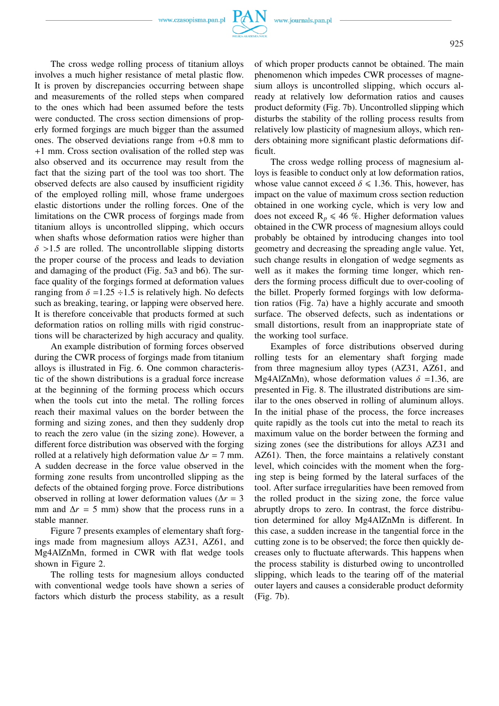www.czasopisma.pan.pl

The cross wedge rolling process of titanium alloys involves a much higher resistance of metal plastic flow. It is proven by discrepancies occurring between shape and measurements of the rolled steps when compared to the ones which had been assumed before the tests were conducted. The cross section dimensions of properly formed forgings are much bigger than the assumed ones. The observed deviations range from +0.8 mm to +1 mm. Cross section ovalisation of the rolled step was also observed and its occurrence may result from the fact that the sizing part of the tool was too short. The observed defects are also caused by insufficient rigidity of the employed rolling mill, whose frame undergoes elastic distortions under the rolling forces. One of the limitations on the CWR process of forgings made from titanium alloys is uncontrolled slipping, which occurs when shafts whose deformation ratios were higher than  $\delta$  >1.5 are rolled. The uncontrollable slipping distorts the proper course of the process and leads to deviation and damaging of the product (Fig. 5a3 and b6). The surface quality of the forgings formed at deformation values ranging from  $\delta = 1.25 \div 1.5$  is relatively high. No defects such as breaking, tearing, or lapping were observed here. It is therefore conceivable that products formed at such deformation ratios on rolling mills with rigid constructions will be characterized by high accuracy and quality.

An example distribution of forming forces observed during the CWR process of forgings made from titanium alloys is illustrated in Fig. 6. One common characteristic of the shown distributions is a gradual force increase at the beginning of the forming process which occurs when the tools cut into the metal. The rolling forces reach their maximal values on the border between the forming and sizing zones, and then they suddenly drop to reach the zero value (in the sizing zone). However, a different force distribution was observed with the forging rolled at a relatively high deformation value  $\Delta r = 7$  mm. A sudden decrease in the force value observed in the forming zone results from uncontrolled slipping as the defects of the obtained forging prove. Force distributions observed in rolling at lower deformation values (∆*r* = 3 mm and  $\Delta r = 5$  mm) show that the process runs in a stable manner.

Figure 7 presents examples of elementary shaft forgings made from magnesium alloys AZ31, AZ61, and Mg4AlZnMn, formed in CWR with flat wedge tools shown in Figure 2.

The rolling tests for magnesium alloys conducted with conventional wedge tools have shown a series of factors which disturb the process stability, as a result of which proper products cannot be obtained. The main phenomenon which impedes CWR processes of magnesium alloys is uncontrolled slipping, which occurs already at relatively low deformation ratios and causes product deformity (Fig. 7b). Uncontrolled slipping which disturbs the stability of the rolling process results from relatively low plasticity of magnesium alloys, which renders obtaining more significant plastic deformations difficult.

The cross wedge rolling process of magnesium alloys is feasible to conduct only at low deformation ratios, whose value cannot exceed  $\delta \leq 1.36$ . This, however, has impact on the value of maximum cross section reduction obtained in one working cycle, which is very low and does not exceed  $R_p \le 46$  %. Higher deformation values obtained in the CWR process of magnesium alloys could probably be obtained by introducing changes into tool geometry and decreasing the spreading angle value. Yet, such change results in elongation of wedge segments as well as it makes the forming time longer, which renders the forming process difficult due to over-cooling of the billet. Properly formed forgings with low deformation ratios (Fig. 7a) have a highly accurate and smooth surface. The observed defects, such as indentations or small distortions, result from an inappropriate state of the working tool surface.

Examples of force distributions observed during rolling tests for an elementary shaft forging made from three magnesium alloy types (AZ31, AZ61, and Mg4AlZnMn), whose deformation values  $\delta$  =1.36, are presented in Fig. 8. The illustrated distributions are similar to the ones observed in rolling of aluminum alloys. In the initial phase of the process, the force increases quite rapidly as the tools cut into the metal to reach its maximum value on the border between the forming and sizing zones (see the distributions for alloys AZ31 and AZ61). Then, the force maintains a relatively constant level, which coincides with the moment when the forging step is being formed by the lateral surfaces of the tool. After surface irregularities have been removed from the rolled product in the sizing zone, the force value abruptly drops to zero. In contrast, the force distribution determined for alloy Mg4AlZnMn is different. In this case, a sudden increase in the tangential force in the cutting zone is to be observed; the force then quickly decreases only to fluctuate afterwards. This happens when the process stability is disturbed owing to uncontrolled slipping, which leads to the tearing off of the material outer layers and causes a considerable product deformity (Fig. 7b).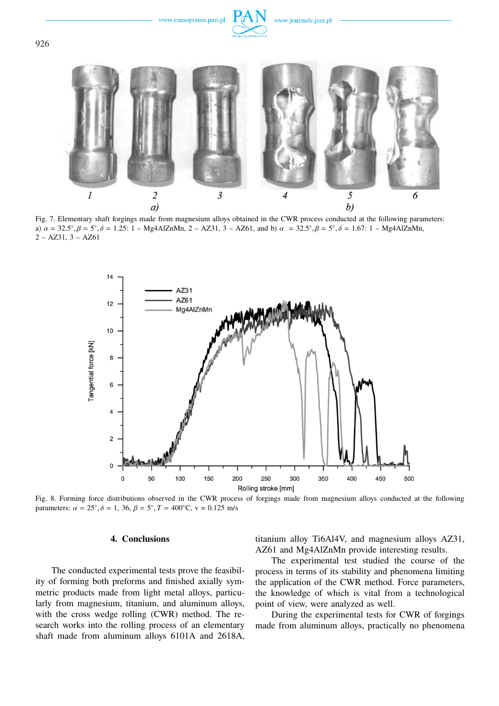



Fig. 7. Elementary shaft forgings made from magnesium alloys obtained in the CWR process conducted at the following parameters: a)  $\alpha = 32.5^{\circ}, \beta = 5^{\circ}, \delta = 1.25$ : 1 – Mg4AlZnMn, 2 – AZ31, 3 – AZ61, and b)  $\alpha = 32.5^{\circ}, \beta = 5^{\circ}, \delta = 1.67$ : 1 – Mg4AlZnMn,  $2 - AZ31$ ,  $3 - AZ61$ 



Fig. 8. Forming force distributions observed in the CWR process of forgings made from magnesium alloys conducted at the following parameters:  $\alpha = 25^{\circ}, \delta = 1, 36, \beta = 5^{\circ}, T = 400^{\circ}$ C, v = 0.125 m/s

# **4. Conclusions**

The conducted experimental tests prove the feasibility of forming both preforms and finished axially symmetric products made from light metal alloys, particularly from magnesium, titanium, and aluminum alloys, with the cross wedge rolling (CWR) method. The research works into the rolling process of an elementary shaft made from aluminum alloys 6101A and 2618A, titanium alloy Ti6Al4V, and magnesium alloys AZ31, AZ61 and Mg4AlZnMn provide interesting results.

The experimental test studied the course of the process in terms of its stability and phenomena limiting the application of the CWR method. Force parameters, the knowledge of which is vital from a technological point of view, were analyzed as well.

During the experimental tests for CWR of forgings made from aluminum alloys, practically no phenomena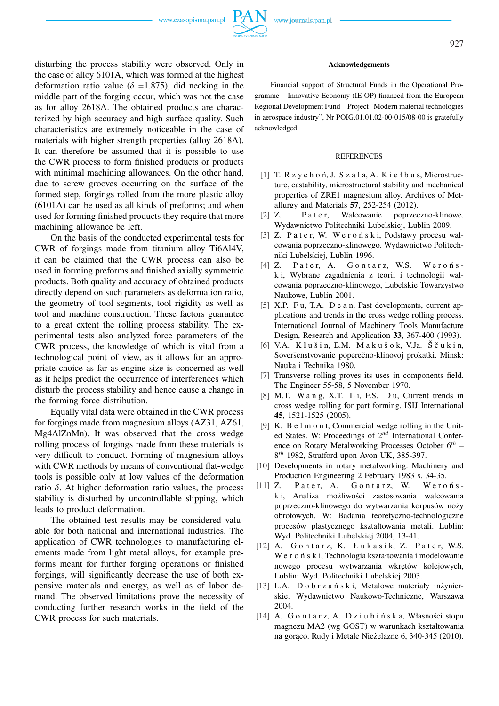www.czasopisma.pan.pl

disturbing the process stability were observed. Only in the case of alloy 6101A, which was formed at the highest deformation ratio value ( $\delta$  =1.875), did necking in the middle part of the forging occur, which was not the case as for alloy 2618A. The obtained products are characterized by high accuracy and high surface quality. Such characteristics are extremely noticeable in the case of materials with higher strength properties (alloy 2618A). It can therefore be assumed that it is possible to use the CWR process to form finished products or products with minimal machining allowances. On the other hand, due to screw grooves occurring on the surface of the formed step, forgings rolled from the more plastic alloy (6101A) can be used as all kinds of preforms; and when used for forming finished products they require that more machining allowance be left.

On the basis of the conducted experimental tests for CWR of forgings made from titanium alloy Ti6Al4V, it can be claimed that the CWR process can also be used in forming preforms and finished axially symmetric products. Both quality and accuracy of obtained products directly depend on such parameters as deformation ratio, the geometry of tool segments, tool rigidity as well as tool and machine construction. These factors guarantee to a great extent the rolling process stability. The experimental tests also analyzed force parameters of the CWR process, the knowledge of which is vital from a technological point of view, as it allows for an appropriate choice as far as engine size is concerned as well as it helps predict the occurrence of interferences which disturb the process stability and hence cause a change in the forming force distribution.

Equally vital data were obtained in the CWR process for forgings made from magnesium alloys (AZ31, AZ61, Mg4AlZnMn). It was observed that the cross wedge rolling process of forgings made from these materials is very difficult to conduct. Forming of magnesium alloys with CWR methods by means of conventional flat-wedge tools is possible only at low values of the deformation ratio δ. At higher deformation ratio values, the process stability is disturbed by uncontrollable slipping, which leads to product deformation.

The obtained test results may be considered valuable for both national and international industries. The application of CWR technologies to manufacturing elements made from light metal alloys, for example preforms meant for further forging operations or finished forgings, will significantly decrease the use of both expensive materials and energy, as well as of labor demand. The observed limitations prove the necessity of conducting further research works in the field of the CWR process for such materials.

#### **Acknowledgements**

Financial support of Structural Funds in the Operational Programme – Innovative Economy (IE OP) financed from the European Regional Development Fund – Project "Modern material technologies in aerospace industry", Nr POIG.01.01.02-00-015/08-00 is gratefully acknowledged.

### REFERENCES

- [1] T.  $R z y c h o n, J. S z a l a, A. K i e l b u s, Microsoft u c$ ture, castability, microstructural stability and mechanical properties of ZRE1 magnesium alloy. Archives of Metallurgy and Materials **57**, 252-254 (2012).
- [2] Z. P a t e r, Walcowanie poprzeczno-klinowe. Wydawnictwo Politechniki Lubelskiej, Lublin 2009.
- [3] Z. P a t e r, W. W e r o n s k i, Podstawy procesu walcowania poprzeczno-klinowego. Wydawnictwo Politechniki Lubelskiej, Lublin 1996.
- [4] Z. Pater, A. Gontarz, W.S. Weronsk i, Wybrane zagadnienia z teorii i technologii walcowania poprzeczno-klinowego, Lubelskie Towarzystwo Naukowe, Lublin 2001.
- [5] X.P. F u, T.A. D e a n, Past developments, current applications and trends in the cross wedge rolling process. International Journal of Machinery Tools Manufacture Design, Research and Application **33**, 367-400 (1993).
- $[6]$  V.A. K  $l$ u š i n, E.M. M a k u š o k, V.Ja. Š č u k i n, Soveršenstvovanie poperečno-klinovoj prokatki. Minsk: Nauka i Technika 1980.
- [7] Transverse rolling proves its uses in components field. The Engineer 55-58, 5 November 1970.
- [8] M.T. Wang, X.T. Li, F.S. Du, Current trends in cross wedge rolling for part forming. ISIJ International **45**, 1521-1525 (2005).
- [9] K. B e l m o n t, Commercial wedge rolling in the United States. W: Proceedings of 2*nd* International Conference on Rotary Metalworking Processes October 6*th* – 8 *th* 1982, Stratford upon Avon UK, 385-397.
- [10] Developments in rotary metalworking. Machinery and Production Engineering 2 February 1983 s. 34-35.
- $[11]$  Z. Pater, A. Gontarz, W. Weronsk i, Analiza możliwości zastosowania walcowania poprzeczno-klinowego do wytwarzania korpusów noży obrotowych. W: Badania teoretyczno-technologiczne procesów plastycznego kształtowania metali. Lublin: Wyd. Politechniki Lubelskiej 2004, 13-41.
- [12] A. Gontarz, K. Łukasik, Z. Pater, W.S. W e r o ń s k i, Technologia kształtowania i modelowanie nowego procesu wytwarzania wkrętów kolejowych, Lublin: Wyd. Politechniki Lubelskiej 2003.
- [13] L.A. D o b r z a ń s k i, Metalowe materiały inżynierskie. Wydawnictwo Naukowo-Techniczne, Warszawa 2004.
- [14] A. G o n t a r z, A. D z i u b i ń s k a, Własności stopu magnezu MA2 (wg GOST) w warunkach kształtowania na gorąco. Rudy i Metale Nieżelazne 6, 340-345 (2010).